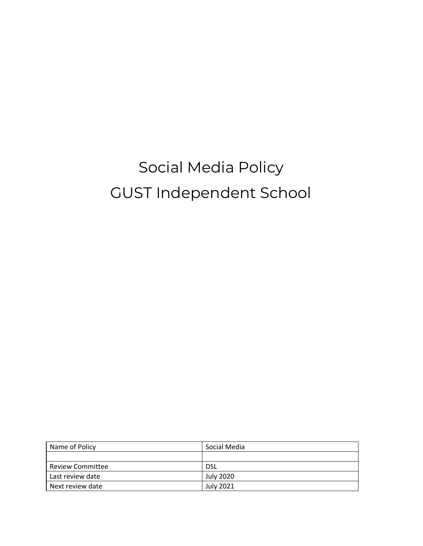# Social Media Policy GUST Independent School

| Name of Policy          | Social Media     |
|-------------------------|------------------|
|                         |                  |
| <b>Review Committee</b> | <b>DSL</b>       |
| Last review date        | <b>July 2020</b> |
| Next review date        | <b>July 2021</b> |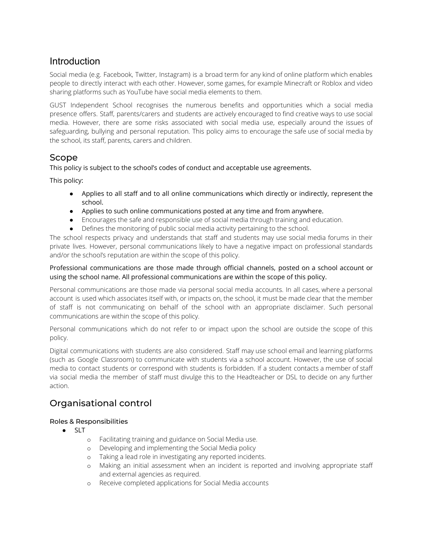# Introduction

Social media (e.g. Facebook, Twitter, Instagram) is a broad term for any kind of online platform which enables people to directly interact with each other. However, some games, for example Minecraft or Roblox and video sharing platforms such as YouTube have social media elements to them.

GUST Independent School recognises the numerous benefits and opportunities which a social media presence offers. Staff, parents/carers and students are actively encouraged to find creative ways to use social media. However, there are some risks associated with social media use, especially around the issues of safeguarding, bullying and personal reputation. This policy aims to encourage the safe use of social media by the school, its staff, parents, carers and children.

## Scope

This policy is subject to the school's codes of conduct and acceptable use agreements.

This policy:

- **●** Applies to all staff and to all online communications which directly or indirectly, represent the school.
- **●** Applies to such online communications posted at any time and from anywhere.
- Encourages the safe and responsible use of social media through training and education.
- Defines the monitoring of public social media activity pertaining to the school.

The school respects privacy and understands that staff and students may use social media forums in their private lives. However, personal communications likely to have a negative impact on professional standards and/or the school's reputation are within the scope of this policy.

#### Professional communications are those made through official channels, posted on a school account or using the school name. All professional communications are within the scope of this policy.

Personal communications are those made via personal social media accounts. In all cases, where a personal account is used which associates itself with, or impacts on, the school, it must be made clear that the member of staff is not communicating on behalf of the school with an appropriate disclaimer. Such personal communications are within the scope of this policy.

Personal communications which do not refer to or impact upon the school are outside the scope of this policy.

Digital communications with students are also considered. Staff may use school email and learning platforms (such as Google Classroom) to communicate with students via a school account. However, the use of social media to contact students or correspond with students is forbidden. If a student contacts a member of staff via social media the member of staff must divulge this to the Headteacher or DSL to decide on any further action.

# Organisational control

#### Roles & Responsibilities

- **●** SLT
	- o Facilitating training and guidance on Social Media use.
	- o Developing and implementing the Social Media policy
	- o Taking a lead role in investigating any reported incidents.
	- o Making an initial assessment when an incident is reported and involving appropriate staff and external agencies as required.
	- o Receive completed applications for Social Media accounts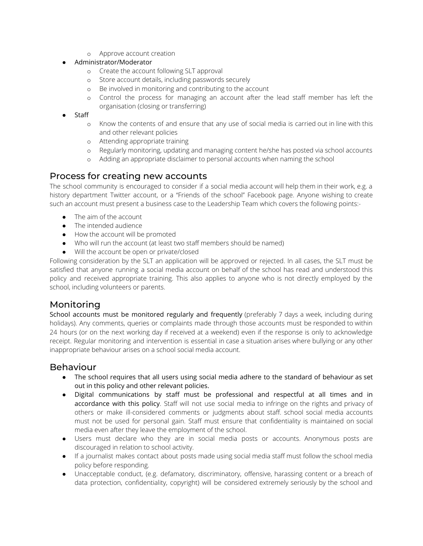o Approve account creation

#### **●** Administrator/Moderator

- o Create the account following SLT approval
- o Store account details, including passwords securely
- o Be involved in monitoring and contributing to the account
- o Control the process for managing an account after the lead staff member has left the organisation (closing or transferring)
- **●** Staff
	- o Know the contents of and ensure that any use of social media is carried out in line with this and other relevant policies
	- o Attending appropriate training
	- o Regularly monitoring, updating and managing content he/she has posted via school accounts
	- o Adding an appropriate disclaimer to personal accounts when naming the school

# Process for creating new accounts

The school community is encouraged to consider if a social media account will help them in their work, e.g. a history department Twitter account, or a "Friends of the school" Facebook page. Anyone wishing to create such an account must present a business case to the Leadership Team which covers the following points:-

- The aim of the account
- The intended audience
- How the account will be promoted
- Who will run the account (at least two staff members should be named)
- Will the account be open or private/closed

Following consideration by the SLT an application will be approved or rejected. In all cases, the SLT must be satisfied that anyone running a social media account on behalf of the school has read and understood this policy and received appropriate training. This also applies to anyone who is not directly employed by the school, including volunteers or parents.

#### Monitoring

School accounts must be monitored regularly and frequently (preferably 7 days a week, including during holidays). Any comments, queries or complaints made through those accounts must be responded to within 24 hours (or on the next working day if received at a weekend) even if the response is only to acknowledge receipt. Regular monitoring and intervention is essential in case a situation arises where bullying or any other inappropriate behaviour arises on a school social media account.

# Behaviour

- **●** The school requires that all users using social media adhere to the standard of behaviour as set out in this policy and other relevant policies.
- Digital communications by staff must be professional and respectful at all times and in accordance with this policy. Staff will not use social media to infringe on the rights and privacy of others or make ill-considered comments or judgments about staff. school social media accounts must not be used for personal gain. Staff must ensure that confidentiality is maintained on social media even after they leave the employment of the school.
- Users must declare who they are in social media posts or accounts. Anonymous posts are discouraged in relation to school activity.
- If a journalist makes contact about posts made using social media staff must follow the school media policy before responding.
- *●* Unacceptable conduct, (e.g. defamatory, discriminatory, offensive, harassing content or a breach of data protection, confidentiality, copyright) will be considered extremely seriously by the school and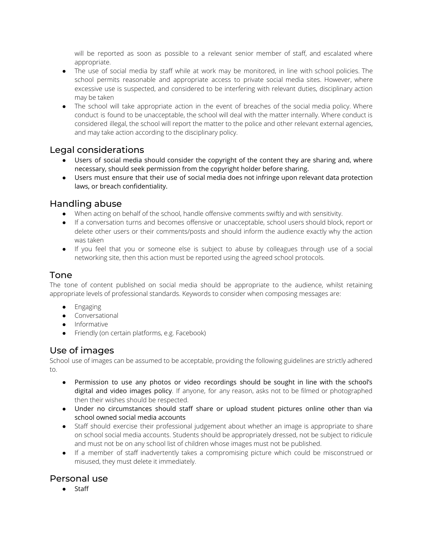will be reported as soon as possible to a relevant senior member of staff, and escalated where appropriate.

- *●* The use of social media by staff while at work may be monitored, in line with school policies. The school permits reasonable and appropriate access to private social media sites. However, where excessive use is suspected, and considered to be interfering with relevant duties, disciplinary action may be taken
- The school will take appropriate action in the event of breaches of the social media policy. Where conduct is found to be unacceptable, the school will deal with the matter internally. Where conduct is considered illegal, the school will report the matter to the police and other relevant external agencies, and may take action according to the disciplinary policy.

## Legal considerations

- **●** Users of social media should consider the copyright of the content they are sharing and, where necessary, should seek permission from the copyright holder before sharing.
- **●** Users must ensure that their use of social media does not infringe upon relevant data protection laws, or breach confidentiality.

## Handling abuse

- When acting on behalf of the school, handle offensive comments swiftly and with sensitivity.
- If a conversation turns and becomes offensive or unacceptable, school users should block, report or delete other users or their comments/posts and should inform the audience exactly why the action was taken
- If you feel that you or someone else is subject to abuse by colleagues through use of a social networking site, then this action must be reported using the agreed school protocols.

# Tone

The tone of content published on social media should be appropriate to the audience, whilst retaining appropriate levels of professional standards. Keywords to consider when composing messages are:

- Engaging
- Conversational
- Informative
- Friendly (on certain platforms, e.g. Facebook)

# Use of images

School use of images can be assumed to be acceptable, providing the following guidelines are strictly adhered to.

- Permission to use any photos or video recordings should be sought in line with the school's digital and video images policy. If anyone, for any reason, asks not to be filmed or photographed then their wishes should be respected.
- **●** Under no circumstances should staff share or upload student pictures online other than via school owned social media accounts
- Staff should exercise their professional judgement about whether an image is appropriate to share on school social media accounts. Students should be appropriately dressed, not be subject to ridicule and must not be on any school list of children whose images must not be published.
- If a member of staff inadvertently takes a compromising picture which could be misconstrued or misused, they must delete it immediately.

# Personal use

**●** Staff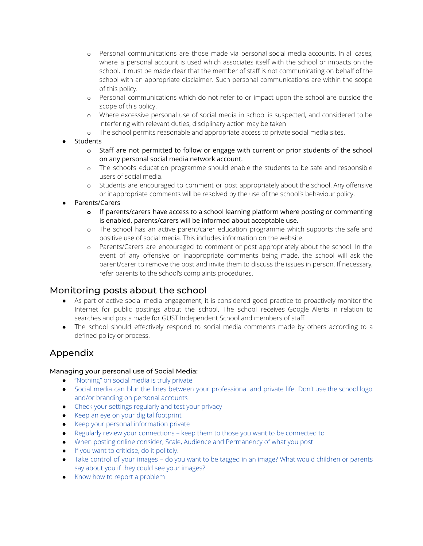- o Personal communications are those made via personal social media accounts. In all cases, where a personal account is used which associates itself with the school or impacts on the school, it must be made clear that the member of staff is not communicating on behalf of the school with an appropriate disclaimer. Such personal communications are within the scope of this policy.
- o Personal communications which do not refer to or impact upon the school are outside the scope of this policy.
- o Where excessive personal use of social media in school is suspected, and considered to be interfering with relevant duties, disciplinary action may be taken
- o The school permits reasonable and appropriate access to private social media sites.
- **●** Students
	- **o** Staff are not permitted to follow or engage with current or prior students of the school on any personal social media network account.
	- o The school's education programme should enable the students to be safe and responsible users of social media.
	- o Students are encouraged to comment or post appropriately about the school. Any offensive or inappropriate comments will be resolved by the use of the school's behaviour policy.
- **●** Parents/Carers
	- **o** If parents/carers have access to a school learning platform where posting or commenting is enabled, parents/carers will be informed about acceptable use.
	- o The school has an active parent/carer education programme which supports the safe and positive use of social media. This includes information on the website.
	- o Parents/Carers are encouraged to comment or post appropriately about the school. In the event of any offensive or inappropriate comments being made, the school will ask the parent/carer to remove the post and invite them to discuss the issues in person. If necessary, refer parents to the school's complaints procedures.

#### Monitoring posts about the school

- As part of active social media engagement, it is considered good practice to proactively monitor the Internet for public postings about the school. The school receives Google Alerts in relation to searches and posts made for GUST Independent School and members of staff.
- The school should effectively respond to social media comments made by others according to a defined policy or process.

# Appendix

#### Managing your personal use of Social Media:

- "Nothing" on social media is truly private
- Social media can blur the lines between your professional and private life. Don't use the school logo and/or branding on personal accounts
- Check your settings regularly and test your privacy
- Keep an eye on your digital footprint
- Keep your personal information private
- Regularly review your connections keep them to those you want to be connected to
- When posting online consider; Scale, Audience and Permanency of what you post
- If you want to criticise, do it politely.
- Take control of your images do you want to be tagged in an image? What would children or parents say about you if they could see your images?
- Know how to report a problem